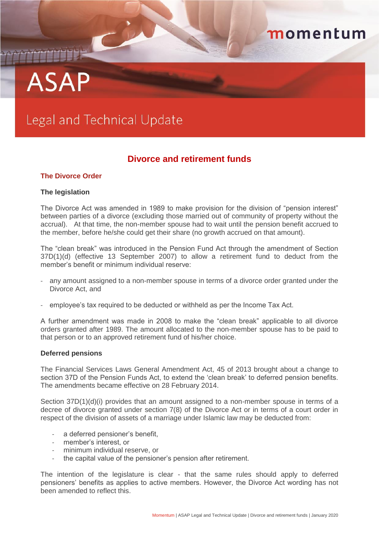## momentum

# **ASAP**

## Legal and Technical Update

### **Divorce and retirement funds**

#### **The Divorce Order**

#### **The legislation**

The Divorce Act was amended in 1989 to make provision for the division of "pension interest" between parties of a divorce (excluding those married out of community of property without the accrual). At that time, the non-member spouse had to wait until the pension benefit accrued to the member, before he/she could get their share (no growth accrued on that amount).

The "clean break" was introduced in the Pension Fund Act through the amendment of Section 37D(1)(d) (effective 13 September 2007) to allow a retirement fund to deduct from the member's benefit or minimum individual reserve:

- any amount assigned to a non-member spouse in terms of a divorce order granted under the Divorce Act, and
- employee's tax required to be deducted or withheld as per the Income Tax Act.

A further amendment was made in 2008 to make the "clean break" applicable to all divorce orders granted after 1989. The amount allocated to the non-member spouse has to be paid to that person or to an approved retirement fund of his/her choice.

#### **Deferred pensions**

The Financial Services Laws General Amendment Act, 45 of 2013 brought about a change to section 37D of the Pension Funds Act, to extend the 'clean break' to deferred pension benefits. The amendments became effective on 28 February 2014.

Section 37D(1)(d)(i) provides that an amount assigned to a non-member spouse in terms of a decree of divorce granted under section 7(8) of the Divorce Act or in terms of a court order in respect of the division of assets of a marriage under Islamic law may be deducted from:

- a deferred pensioner's benefit.
- member's interest, or
- minimum individual reserve, or
- the capital value of the pensioner's pension after retirement.

The intention of the legislature is clear - that the same rules should apply to deferred pensioners' benefits as applies to active members. However, the Divorce Act wording has not been amended to reflect this.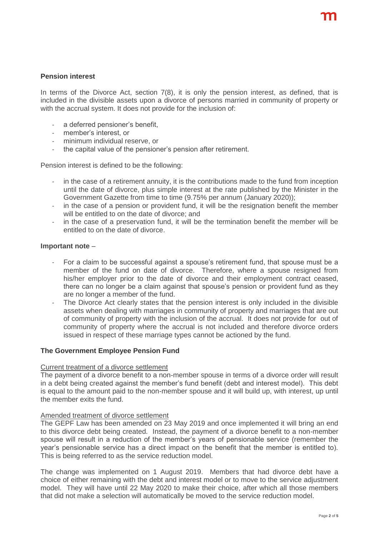#### **Pension interest**

In terms of the Divorce Act, section 7(8), it is only the pension interest, as defined, that is included in the divisible assets upon a divorce of persons married in community of property or with the accrual system. It does not provide for the inclusion of:

- a deferred pensioner's benefit,
- member's interest, or
- minimum individual reserve, or
- the capital value of the pensioner's pension after retirement.

Pension interest is defined to be the following:

- in the case of a retirement annuity, it is the contributions made to the fund from inception until the date of divorce, plus simple interest at the rate published by the Minister in the Government Gazette from time to time (9.75% per annum (January 2020));
- in the case of a pension or provident fund, it will be the resignation benefit the member will be entitled to on the date of divorce; and
- in the case of a preservation fund, it will be the termination benefit the member will be entitled to on the date of divorce.

#### **Important note** –

- For a claim to be successful against a spouse's retirement fund, that spouse must be a member of the fund on date of divorce. Therefore, where a spouse resigned from his/her employer prior to the date of divorce and their employment contract ceased, there can no longer be a claim against that spouse's pension or provident fund as they are no longer a member of the fund.
- The Divorce Act clearly states that the pension interest is only included in the divisible assets when dealing with marriages in community of property and marriages that are out of community of property with the inclusion of the accrual. It does not provide for out of community of property where the accrual is not included and therefore divorce orders issued in respect of these marriage types cannot be actioned by the fund.

#### **The Government Employee Pension Fund**

#### Current treatment of a divorce settlement

The payment of a divorce benefit to a non-member spouse in terms of a divorce order will result in a debt being created against the member's fund benefit (debt and interest model). This debt is equal to the amount paid to the non-member spouse and it will build up, with interest, up until the member exits the fund.

#### Amended treatment of divorce settlement

The GEPF Law has been amended on 23 May 2019 and once implemented it will bring an end to this divorce debt being created. Instead, the payment of a divorce benefit to a non-member spouse will result in a reduction of the member's years of pensionable service (remember the year's pensionable service has a direct impact on the benefit that the member is entitled to). This is being referred to as the service reduction model.

The change was implemented on 1 August 2019. Members that had divorce debt have a choice of either remaining with the debt and interest model or to move to the service adjustment model. They will have until 22 May 2020 to make their choice, after which all those members that did not make a selection will automatically be moved to the service reduction model.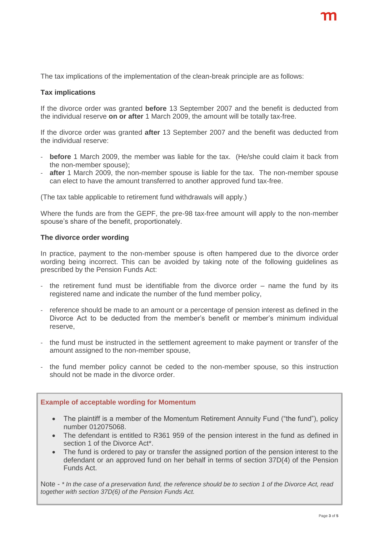The tax implications of the implementation of the clean-break principle are as follows:

#### **Tax implications**

If the divorce order was granted **before** 13 September 2007 and the benefit is deducted from the individual reserve **on or after** 1 March 2009, the amount will be totally tax-free.

If the divorce order was granted **after** 13 September 2007 and the benefit was deducted from the individual reserve:

- **before** 1 March 2009, the member was liable for the tax. (He/she could claim it back from the non-member spouse);
- **after** 1 March 2009, the non-member spouse is liable for the tax. The non-member spouse can elect to have the amount transferred to another approved fund tax-free.

(The tax table applicable to retirement fund withdrawals will apply.)

Where the funds are from the GEPF, the pre-98 tax-free amount will apply to the non-member spouse's share of the benefit, proportionately.

#### **The divorce order wording**

In practice, payment to the non-member spouse is often hampered due to the divorce order wording being incorrect. This can be avoided by taking note of the following guidelines as prescribed by the Pension Funds Act:

- the retirement fund must be identifiable from the divorce order  $-$  name the fund by its registered name and indicate the number of the fund member policy,
- reference should be made to an amount or a percentage of pension interest as defined in the Divorce Act to be deducted from the member's benefit or member's minimum individual reserve,
- the fund must be instructed in the settlement agreement to make payment or transfer of the amount assigned to the non-member spouse,
- the fund member policy cannot be ceded to the non-member spouse, so this instruction should not be made in the divorce order.

#### **Example of acceptable wording for Momentum**

- The plaintiff is a member of the Momentum Retirement Annuity Fund ("the fund"), policy number 012075068.
- The defendant is entitled to R361 959 of the pension interest in the fund as defined in section 1 of the Divorce Act\*
- The fund is ordered to pay or transfer the assigned portion of the pension interest to the defendant or an approved fund on her behalf in terms of section 37D(4) of the Pension Funds Act.

Note - *\* In the case of a preservation fund, the reference should be to section 1 of the Divorce Act, read together with section 37D(6) of the Pension Funds Act.*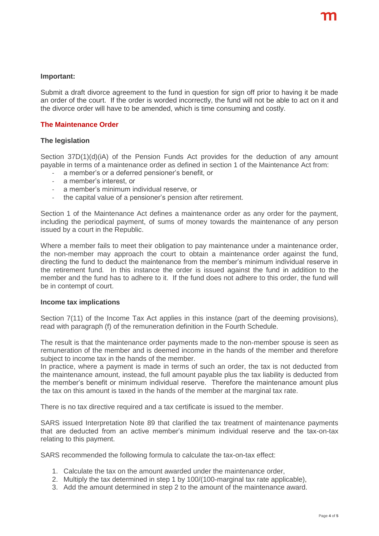#### **Important:**

Submit a draft divorce agreement to the fund in question for sign off prior to having it be made an order of the court. If the order is worded incorrectly, the fund will not be able to act on it and the divorce order will have to be amended, which is time consuming and costly.

#### **The Maintenance Order**

#### **The legislation**

Section 37D(1)(d)(iA) of the Pension Funds Act provides for the deduction of any amount payable in terms of a maintenance order as defined in section 1 of the Maintenance Act from:

- a member's or a deferred pensioner's benefit, or
- a member's interest, or
- a member's minimum individual reserve, or
- the capital value of a pensioner's pension after retirement.

Section 1 of the Maintenance Act defines a maintenance order as any order for the payment, including the periodical payment, of sums of money towards the maintenance of any person issued by a court in the Republic.

Where a member fails to meet their obligation to pay maintenance under a maintenance order, the non-member may approach the court to obtain a maintenance order against the fund, directing the fund to deduct the maintenance from the member's minimum individual reserve in the retirement fund. In this instance the order is issued against the fund in addition to the member and the fund has to adhere to it. If the fund does not adhere to this order, the fund will be in contempt of court.

#### **Income tax implications**

Section 7(11) of the Income Tax Act applies in this instance (part of the deeming provisions), read with paragraph (f) of the remuneration definition in the Fourth Schedule.

The result is that the maintenance order payments made to the non-member spouse is seen as remuneration of the member and is deemed income in the hands of the member and therefore subject to income tax in the hands of the member.

In practice, where a payment is made in terms of such an order, the tax is not deducted from the maintenance amount, instead, the full amount payable plus the tax liability is deducted from the member's benefit or minimum individual reserve. Therefore the maintenance amount plus the tax on this amount is taxed in the hands of the member at the marginal tax rate.

There is no tax directive required and a tax certificate is issued to the member.

SARS issued Interpretation Note 89 that clarified the tax treatment of maintenance payments that are deducted from an active member's minimum individual reserve and the tax-on-tax relating to this payment.

SARS recommended the following formula to calculate the tax-on-tax effect:

- 1. Calculate the tax on the amount awarded under the maintenance order,
- 2. Multiply the tax determined in step 1 by 100/(100-marginal tax rate applicable),
- 3. Add the amount determined in step 2 to the amount of the maintenance award.